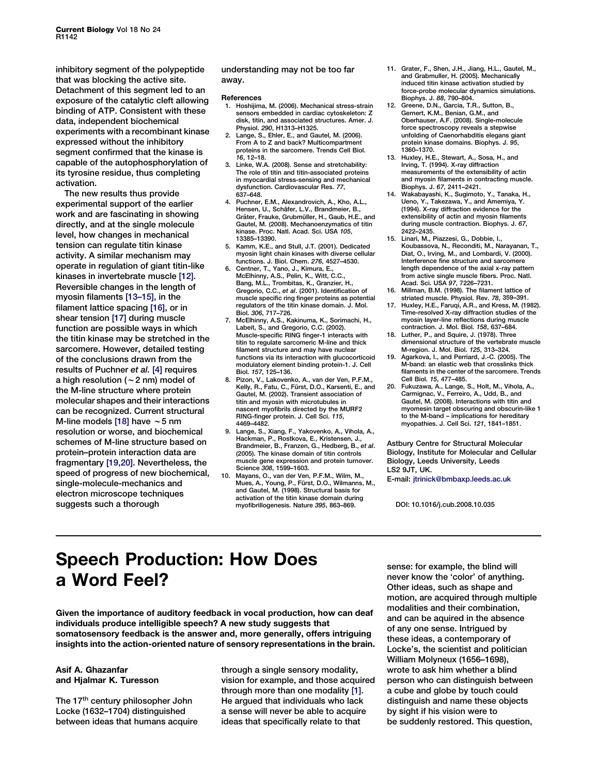inhibitory segment of the polypeptide that was blocking the active site. Detachment of this segment led to an exposure of the catalytic cleft allowing binding of ATP. Consistent with these data, independent biochemical experiments with a recombinant kinase expressed without the inhibitory segment confirmed that the kinase is capable of the autophosphorylation of its tyrosine residue, thus completing activation.

The new results thus provide experimental support of the earlier work and are fascinating in showing directly, and at the single molecule level, how changes in mechanical tension can regulate titin kinase activity. A similar mechanism may operate in regulation of giant titin-like kinases in invertebrate muscle [12]. Reversible changes in the length of myosin filaments [13–15], in the filament lattice spacing [16], or in shear tension [17] during muscle function are possible ways in which the titin kinase may be stretched in the sarcomere. However, detailed testing of the conclusions drawn from the results of Puchner et al. [4] requires a high resolution ( $\sim$  2 nm) model of the M-line structure where protein molecular shapes and their interactions can be recognized. Current structural M-line models [18] have  $\sim$  5 nm resolution or worse, and biochemical schemes of M-line structure based on protein–protein interaction data are fragmentary [19,20]. Nevertheless, the speed of progress of new biochemical, single-molecule-mechanics and electron microscope techniques suggests such a thorough

understanding may not be too far away.

#### References

- 1. Hoshijima, M. (2006). Mechanical stress-strain sensors embedded in cardiac cytoskeleton: Z disk, titin, and associated structures. Amer. J. Physiol. 290, H1313–H1325.
- 2. Lange, S., Ehler, E., and Gautel, M. (2006). From A to Z and back? Multicompartment proteins in the sarcomere. Trends Cell Biol. .<br>*16.* 12–18.
- 3. Linke, W.A. (2008). Sense and stretchability: The role of titin and titin-associated proteins in myocardial stress-sensing and mechanical dysfunction. Cardiovascular Res. 77, 637–648.
- 4. Puchner, E.M., Alexandrovich, A., Kho, A.L., Hensen, U., Schäfer, L.V., Brandmeier, B., Gräter, Frauke, Grubmüller, H., Gaub, H.E., and Gautel, M. (2008). Mechanoenzymatics of titin kinase. Proc. Natl. Acad. Sci. USA 105, 13385–13390.
- 5. Kamm, K.E., and Stull, J.T. (2001). Dedicated myosin light chain kinases with diverse cellular functions. J. Biol. Chem. 276, 4527–4530.
- 6. Centner, T., Yano, J., Kimura, E., McElhinny, A.S., Pelin, K., Witt, C.C., Bang, M.L., Trombitas, K., Granzier, H., Gregorio, C.C., et al. (2001). Identification of muscle specific ring finger proteins as potential regulators of the titin kinase domain. J. Mol. Biol. 306, 717–726.
- 7. McElhinny, A.S., Kakinuma, K., Sorimachi, H., Labeit, S., and Gregorio, C.C. (2002). Muscle-specific RING finger-1 interacts with titin to regulate sarcomeric M-line and thick filament structure and may have nuclear functions via its interaction with glucocorticoid modulatory element binding protein-1. J. Cell Biol. 157, 125–136.
- Pizon, V., Lakovenko, A., van der Ven, P.F.M., Kelly, R., Fatu, C., Fürst, D.O., Karsenti, E., and Gautel, M. (2002). Transient association of titin and myosin with microtubules in nascent myofibrils directed by the MURF2 RING-finger protein. J. Cell Sci. 115, 4469–4482.
- Lange, S., Xiang, F., Yakovenko, A., Vihola, A., Hackman, P., Rostkova, E., Kristensen, J., Brandmeier, B., Franzen, G., Hedberg, B., et al. (2005). The kinase domain of titin controls muscle gene expression and protein turnover. Science 308, 1599–1603.
- 10. Mayans, O., van der Ven, P.F.M., Wilm, M., Mues, A., Young, P., Fürst, D.O., Wilmanns, M., and Gautel, M. (1998). Structural basis for activation of the titin kinase domain during myofibrillogenesis. Nature 395, 863–869.
- 11. Grater, F., Shen, J.H., Jiang, H.L., Gautel, M., and Grabmuller, H. (2005). Mechanically induced titin kinase activation studied by force-probe molecular dynamics simulations. Biophys. J. 88, 790–804.
- 12. Greene, D.N., Garcia, T.R., Sutton, B., Gernert, K.M., Benian, G.M., and Oberhauser, A.F. (2008). Single-molecule force spectroscopy reveals a stepwise unfolding of Caenorhabditis elegans giant protein kinase domains. Biophys. J. 95, 1360–1370.
- 13. Huxley, H.E., Stewart, A., Sosa, H., and Irving, T. (1994). X-ray diffraction measurements of the extensibility of actin and myosin filaments in contracting muscle. Biophys. J. 67, 2411–2421.
- 14. Wakabayashi, K., Sugimoto, Y., Tanaka, H., Ueno, Y., Takezawa, Y., and Amemiya, Y. (1994). X-ray diffraction evidence for the extensibility of actin and myosin filaments during muscle contraction. Biophys. J. 67, 2422–2435.
- 15. Linari, M., Piazzesi, G., Dobbie, I., Koubassova, N., Reconditi, M., Narayanan, T., Diat, O., Irving, M., and Lombardi, V. (2000). Interference fine structure and sarcomere length dependence of the axial x-ray pattern from active single muscle fibers. Proc. Natl. Acad. Sci. USA 97, 7226–7231.
- 16. Millman, B.M. (1998). The filament lattice of striated muscle. Physiol. Rev. 78, 359–391.
- 17. Huxley, H.E., Faruqi, A.R., and Kress, M. (1982). Time-resolved X-ray diffraction studies of the myosin layer-line reflections during muscle contraction. J. Mol. Biol. 158, 637–684.
- 18. Luther, P., and Squire, J. (1978). Three dimensional structure of the vertebrate muscle M-region. J. Mol. Biol. 125, 313–324.
- 19. Agarkova, I., and Perriard, J.-C. (2005). The M-band: an elastic web that crosslinks thick filaments in the center of the sarcomere. Trends Cell Biol. 15, 477–485.
- 20. Fukuzawa, A., Lange, S., Holt, M., Vihola, A., Carmignac, V., Ferreiro, A., Udd, B., and Gautel, M. (2008). Interactions with titin and myomesin target obscuring and obscurin-like 1 to the M-band – implications for hereditary myopathies. J. Cell Sci. 121, 1841–1851.

Astbury Centre for Structural Molecular Biology, Institute for Molecular and Cellular Biology, Leeds University, Leeds LS2 9JT, UK. E-mail: jtrinick@bmbaxp.leeds.ac.uk

DOI: 10.1016/j.cub.2008.10.035

# Speech Production: How Does a Word Feel?

Given the importance of auditory feedback in vocal production, how can deaf individuals produce intelligible speech? A new study suggests that somatosensory feedback is the answer and, more generally, offers intriguing insights into the action-oriented nature of sensory representations in the brain.

### Asif A. Ghazanfar and Hjalmar K. Turesson

The 17<sup>th</sup> century philosopher John Locke (1632–1704) distinguished between ideas that humans acquire through a single sensory modality, vision for example, and those acquired through more than one modality [\[1\]](#page-1-0). He argued that individuals who lack a sense will never be able to acquire ideas that specifically relate to that

sense: for example, the blind will never know the 'color' of anything. Other ideas, such as shape and motion, are acquired through multiple modalities and their combination, and can be aquired in the absence of any one sense. Intrigued by these ideas, a contemporary of Locke's, the scientist and politician William Molyneux (1656–1698), wrote to ask him whether a blind person who can distinguish between a cube and globe by touch could distinguish and name these objects by sight if his vision were to be suddenly restored. This question,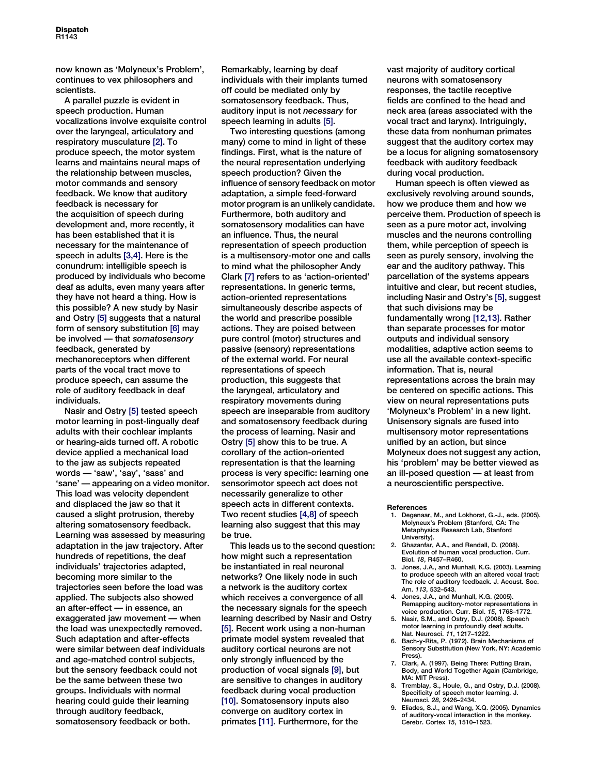<span id="page-1-0"></span>now known as 'Molyneux's Problem', continues to vex philosophers and scientists.

A parallel puzzle is evident in speech production. Human vocalizations involve exquisite control over the laryngeal, articulatory and respiratory musculature [2]. To produce speech, the motor system learns and maintains neural maps of the relationship between muscles, motor commands and sensory feedback. We know that auditory feedback is necessary for the acquisition of speech during development and, more recently, it has been established that it is necessary for the maintenance of speech in adults [3,4]. Here is the conundrum: intelligible speech is produced by individuals who become deaf as adults, even many years after they have not heard a thing. How is this possible? A new study by Nasir and Ostry [5] suggests that a natural form of sensory substitution [6] may be involved — that somatosensory feedback, generated by mechanoreceptors when different parts of the vocal tract move to produce speech, can assume the role of auditory feedback in deaf individuals.

Nasir and Ostry [5] tested speech motor learning in post-lingually deaf adults with their cochlear implants or hearing-aids turned off. A robotic device applied a mechanical load to the jaw as subjects repeated words — 'saw', 'say', 'sass' and 'sane' — appearing on a video monitor. This load was velocity dependent and displaced the jaw so that it caused a slight protrusion, thereby altering somatosensory feedback. Learning was assessed by measuring adaptation in the jaw trajectory. After hundreds of repetitions, the deaf individuals' trajectories adapted, becoming more similar to the trajectories seen before the load was applied. The subjects also showed an after-effect — in essence, an exaggerated jaw movement — when the load was unexpectedly removed. Such adaptation and after-effects were similar between deaf individuals and age-matched control subjects, but the sensory feedback could not be the same between these two groups. Individuals with normal hearing could guide their learning through auditory feedback, somatosensory feedback or both.

Remarkably, learning by deaf individuals with their implants turned off could be mediated only by somatosensory feedback. Thus, auditory input is not necessary for speech learning in adults [5].

Two interesting questions (among many) come to mind in light of these findings. First, what is the nature of the neural representation underlying speech production? Given the influence of sensory feedback on motor adaptation, a simple feed-forward motor program is an unlikely candidate. Furthermore, both auditory and somatosensory modalities can have an influence. Thus, the neural representation of speech production is a multisensory-motor one and calls to mind what the philosopher Andy Clark [7] refers to as 'action-oriented' representations. In generic terms, action-oriented representations simultaneously describe aspects of the world and prescribe possible actions. They are poised between pure control (motor) structures and passive (sensory) representations of the external world. For neural representations of speech production, this suggests that the laryngeal, articulatory and respiratory movements during speech are inseparable from auditory and somatosensory feedback during the process of learning. Nasir and Ostry [5] show this to be true. A corollary of the action-oriented representation is that the learning process is very specific: learning one sensorimotor speech act does not necessarily generalize to other speech acts in different contexts. Two recent studies [4,8] of speech learning also suggest that this may be true.

This leads us to the second question: how might such a representation be instantiated in real neuronal networks? One likely node in such a network is the auditory cortex which receives a convergence of all the necessary signals for the speech learning described by Nasir and Ostry [5]. Recent work using a non-human primate model system revealed that auditory cortical neurons are not only strongly influenced by the production of vocal signals [9], but are sensitive to changes in auditory feedback during vocal production [\[10\].](#page-2-0) Somatosensory inputs also converge on auditory cortex in primates [\[11\]](#page-2-0). Furthermore, for the

vast majority of auditory cortical neurons with somatosensory responses, the tactile receptive fields are confined to the head and neck area (areas associated with the vocal tract and larynx). Intriguingly, these data from nonhuman primates suggest that the auditory cortex may be a locus for aligning somatosensory feedback with auditory feedback during vocal production.

Human speech is often viewed as exclusively revolving around sounds, how we produce them and how we perceive them. Production of speech is seen as a pure motor act, involving muscles and the neurons controlling them, while perception of speech is seen as purely sensory, involving the ear and the auditory pathway. This parcellation of the systems appears intuitive and clear, but recent studies, including Nasir and Ostry's [5], suggest that such divisions may be fundamentally wrong [\[12,13\].](#page-2-0) Rather than separate processes for motor outputs and individual sensory modalities, adaptive action seems to use all the available context-specific information. That is, neural representations across the brain may be centered on specific actions. This view on neural representations puts 'Molyneux's Problem' in a new light. Unisensory signals are fused into multisensory motor representations unified by an action, but since Molyneux does not suggest any action, his 'problem' may be better viewed as an ill-posed question — at least from a neuroscientific perspective.

#### **References**

- 1. Degenaar, M., and Lokhorst, G.-J., eds. (2005). Molyneux's Problem (Stanford, CA: The Metaphysics Research Lab, Stanford University).
- 2. Ghazanfar, A.A., and Rendall, D. (2008). Evolution of human vocal production. Curr. Biol. 18, R457–R460.
- 3. Jones, J.A., and Munhall, K.G. (2003). Learning to produce speech with an altered vocal tract: The role of auditory feedback. J. Acoust. Soc. Am. 113, 532–543.
- 4. Jones, J.A., and Munhall, K.G. (2005). Remapping auditory-motor representations in voice production. Curr. Biol. 15, 1768–1772.
- 5. Nasir, S.M., and Ostry, D.J. (2008). Speech motor learning in profoundly deaf adults. Nat. Neurosci. 11, 1217–1222.
- 6. Bach-y-Rita, P. (1972). Brain Mechanisms of Sensory Substitution (New York, NY: Academic Press).
- 7. Clark, A. (1997). Being There: Putting Brain, Body, and World Together Again (Cambridge, MA: MIT Press)
- Tremblay, S., Houle, G., and Ostry, D.J. (2008). Specificity of speech motor learning. J. Neurosci. 28, 2426–2434.
- 9. Eliades, S.J., and Wang, X.Q. (2005). Dynamics of auditory-vocal interaction in the monkey. Cerebr. Cortex 15, 1510–1523.